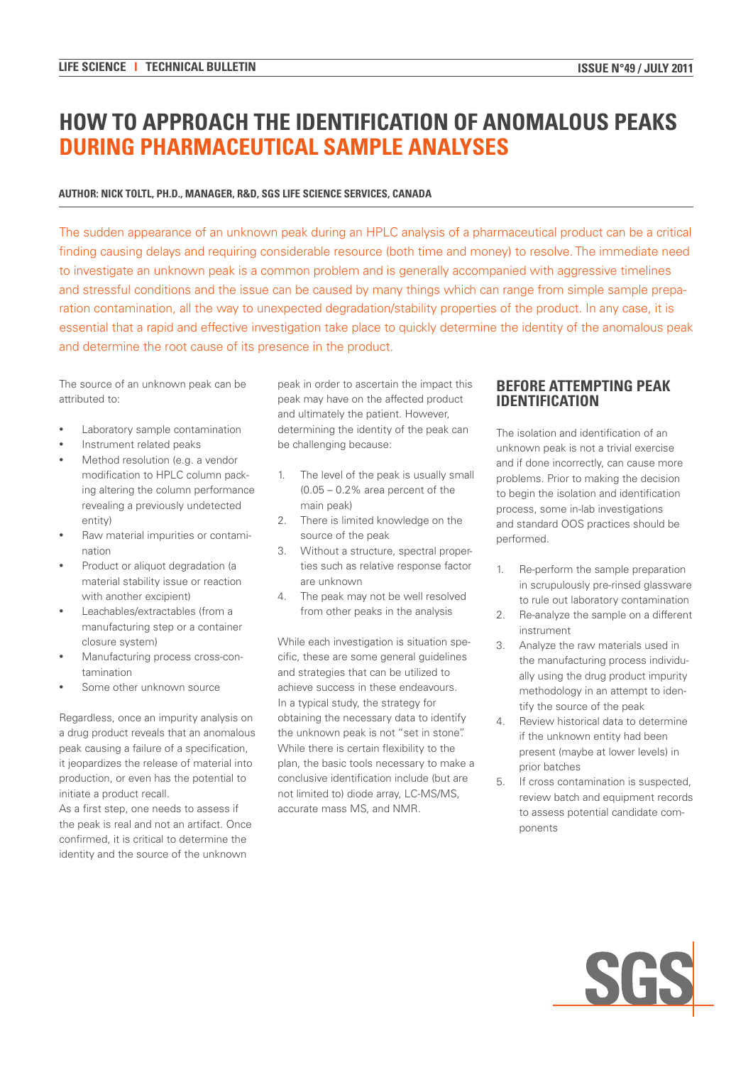# **HOW TO APPROACH THE IDENTIFICATION OF ANOMALOUS PEAKS DURING PHARMACEUTICAL SAMPLE ANALYSES**

#### **AUTHOR: NICK TOLTL, PH.D., MANAGER, R&D, SGS LIFE SCIENCE SERVICES, CANADA**

The sudden appearance of an unknown peak during an HPLC analysis of a pharmaceutical product can be a critical finding causing delays and requiring considerable resource (both time and money) to resolve. The immediate need to investigate an unknown peak is a common problem and is generally accompanied with aggressive timelines and stressful conditions and the issue can be caused by many things which can range from simple sample preparation contamination, all the way to unexpected degradation/stability properties of the product. In any case, it is essential that a rapid and effective investigation take place to quickly determine the identity of the anomalous peak and determine the root cause of its presence in the product.

The source of an unknown peak can be attributed to:

- Laboratory sample contamination
- Instrument related peaks
- Method resolution (e.g. a vendor modification to HPLC column packing altering the column performance revealing a previously undetected entity)
- Raw material impurities or contamination
- Product or aliquot degradation (a material stability issue or reaction with another excipient)
- Leachables/extractables (from a manufacturing step or a container closure system)
- Manufacturing process cross-contamination
- Some other unknown source

Regardless, once an impurity analysis on a drug product reveals that an anomalous peak causing a failure of a specification, it jeopardizes the release of material into production, or even has the potential to initiate a product recall.

As a first step, one needs to assess if the peak is real and not an artifact. Once confirmed, it is critical to determine the identity and the source of the unknown

peak in order to ascertain the impact this peak may have on the affected product and ultimately the patient. However, determining the identity of the peak can be challenging because:

- 1. The level of the peak is usually small (0.05 – 0.2% area percent of the main peak)
- 2. There is limited knowledge on the source of the peak
- 3. Without a structure, spectral properties such as relative response factor are unknown
- 4. The peak may not be well resolved from other peaks in the analysis

While each investigation is situation specific, these are some general guidelines and strategies that can be utilized to achieve success in these endeavours. In a typical study, the strategy for obtaining the necessary data to identify the unknown peak is not "set in stone". While there is certain flexibility to the plan, the basic tools necessary to make a conclusive identification include (but are not limited to) diode array, LC-MS/MS, accurate mass MS, and NMR.

## **BEFORE ATTEMPTING PEAK IDENTIFICATION**

The isolation and identification of an unknown peak is not a trivial exercise and if done incorrectly, can cause more problems. Prior to making the decision to begin the isolation and identification process, some in-lab investigations and standard OOS practices should be performed.

- 1. Re-perform the sample preparation in scrupulously pre-rinsed glassware to rule out laboratory contamination
- 2. Re-analyze the sample on a different instrument
- 3. Analyze the raw materials used in the manufacturing process individually using the drug product impurity methodology in an attempt to identify the source of the peak
- 4. Review historical data to determine if the unknown entity had been present (maybe at lower levels) in prior batches
- 5. If cross contamination is suspected, review batch and equipment records to assess potential candidate components

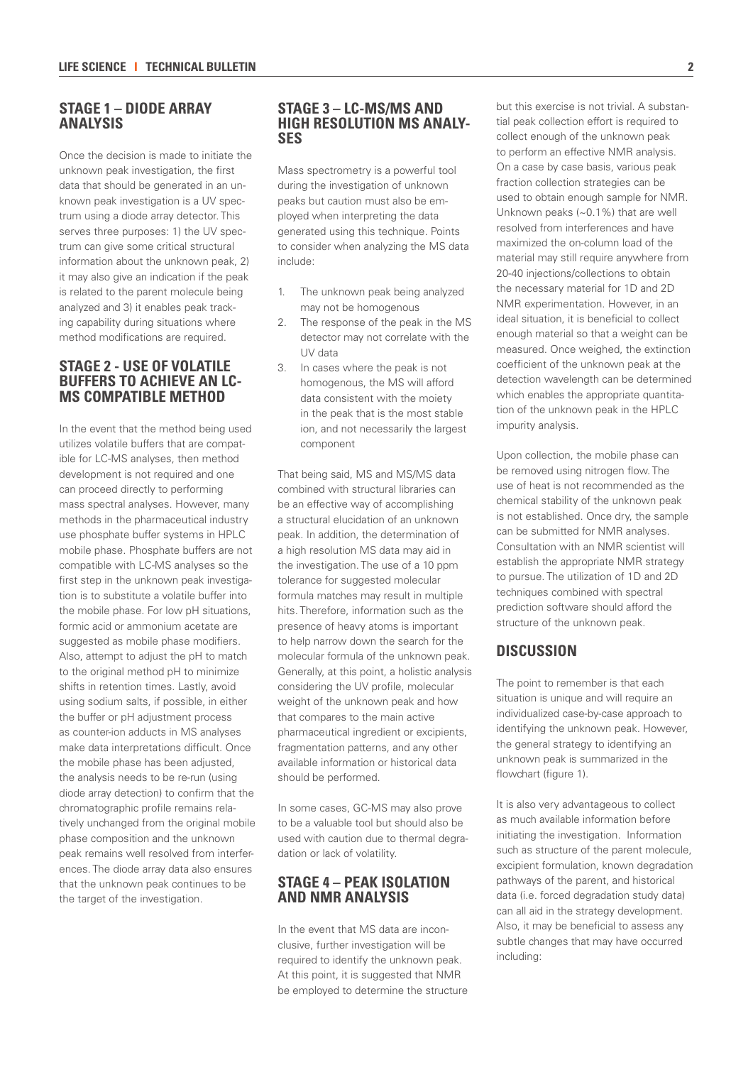# **STAGE 1 – DIODE ARRAY ANALYSIS**

Once the decision is made to initiate the unknown peak investigation, the first data that should be generated in an unknown peak investigation is a UV spectrum using a diode array detector. This serves three purposes: 1) the UV spectrum can give some critical structural information about the unknown peak, 2) it may also give an indication if the peak is related to the parent molecule being analyzed and 3) it enables peak tracking capability during situations where method modifications are required.

## **STAGE 2 - USE OF VOLATILE BUFFERS TO ACHIEVE AN LC-MS COMPATIBLE METHOD**

In the event that the method being used utilizes volatile buffers that are compatible for LC-MS analyses, then method development is not required and one can proceed directly to performing mass spectral analyses. However, many methods in the pharmaceutical industry use phosphate buffer systems in HPLC mobile phase. Phosphate buffers are not compatible with LC-MS analyses so the first step in the unknown peak investigation is to substitute a volatile buffer into the mobile phase. For low pH situations, formic acid or ammonium acetate are suggested as mobile phase modifiers. Also, attempt to adjust the pH to match to the original method pH to minimize shifts in retention times. Lastly, avoid using sodium salts, if possible, in either the buffer or pH adjustment process as counter-ion adducts in MS analyses make data interpretations difficult. Once the mobile phase has been adjusted, the analysis needs to be re-run (using diode array detection) to confirm that the chromatographic profile remains relatively unchanged from the original mobile phase composition and the unknown peak remains well resolved from interferences. The diode array data also ensures that the unknown peak continues to be the target of the investigation.

#### **STAGE 3 – LC-MS/MS AND HIGH RESOLUTION MS ANALY-SES**

Mass spectrometry is a powerful tool during the investigation of unknown peaks but caution must also be employed when interpreting the data generated using this technique. Points to consider when analyzing the MS data include:

- 1. The unknown peak being analyzed may not be homogenous
- 2. The response of the peak in the MS detector may not correlate with the UV data
- 3. In cases where the peak is not homogenous, the MS will afford data consistent with the moiety in the peak that is the most stable ion, and not necessarily the largest component

That being said, MS and MS/MS data combined with structural libraries can be an effective way of accomplishing a structural elucidation of an unknown peak. In addition, the determination of a high resolution MS data may aid in the investigation. The use of a 10 ppm tolerance for suggested molecular formula matches may result in multiple hits. Therefore, information such as the presence of heavy atoms is important to help narrow down the search for the molecular formula of the unknown peak. Generally, at this point, a holistic analysis considering the UV profile, molecular weight of the unknown peak and how that compares to the main active pharmaceutical ingredient or excipients, fragmentation patterns, and any other available information or historical data should be performed.

In some cases, GC-MS may also prove to be a valuable tool but should also be used with caution due to thermal degradation or lack of volatility.

## **STAGE 4 – PEAK ISOLATION AND NMR ANALYSIS**

In the event that MS data are inconclusive, further investigation will be required to identify the unknown peak. At this point, it is suggested that NMR be employed to determine the structure but this exercise is not trivial. A substantial peak collection effort is required to collect enough of the unknown peak to perform an effective NMR analysis. On a case by case basis, various peak fraction collection strategies can be used to obtain enough sample for NMR. Unknown peaks (~0.1%) that are well resolved from interferences and have maximized the on-column load of the material may still require anywhere from 20-40 injections/collections to obtain the necessary material for 1D and 2D NMR experimentation. However, in an ideal situation, it is beneficial to collect enough material so that a weight can be measured. Once weighed, the extinction coefficient of the unknown peak at the detection wavelength can be determined which enables the appropriate quantitation of the unknown peak in the HPLC impurity analysis.

Upon collection, the mobile phase can be removed using nitrogen flow. The use of heat is not recommended as the chemical stability of the unknown peak is not established. Once dry, the sample can be submitted for NMR analyses. Consultation with an NMR scientist will establish the appropriate NMR strategy to pursue. The utilization of 1D and 2D techniques combined with spectral prediction software should afford the structure of the unknown peak.

## **DISCUSSION**

The point to remember is that each situation is unique and will require an individualized case-by-case approach to identifying the unknown peak. However, the general strategy to identifying an unknown peak is summarized in the flowchart (figure 1).

It is also very advantageous to collect as much available information before initiating the investigation. Information such as structure of the parent molecule, excipient formulation, known degradation pathways of the parent, and historical data (i.e. forced degradation study data) can all aid in the strategy development. Also, it may be beneficial to assess any subtle changes that may have occurred including: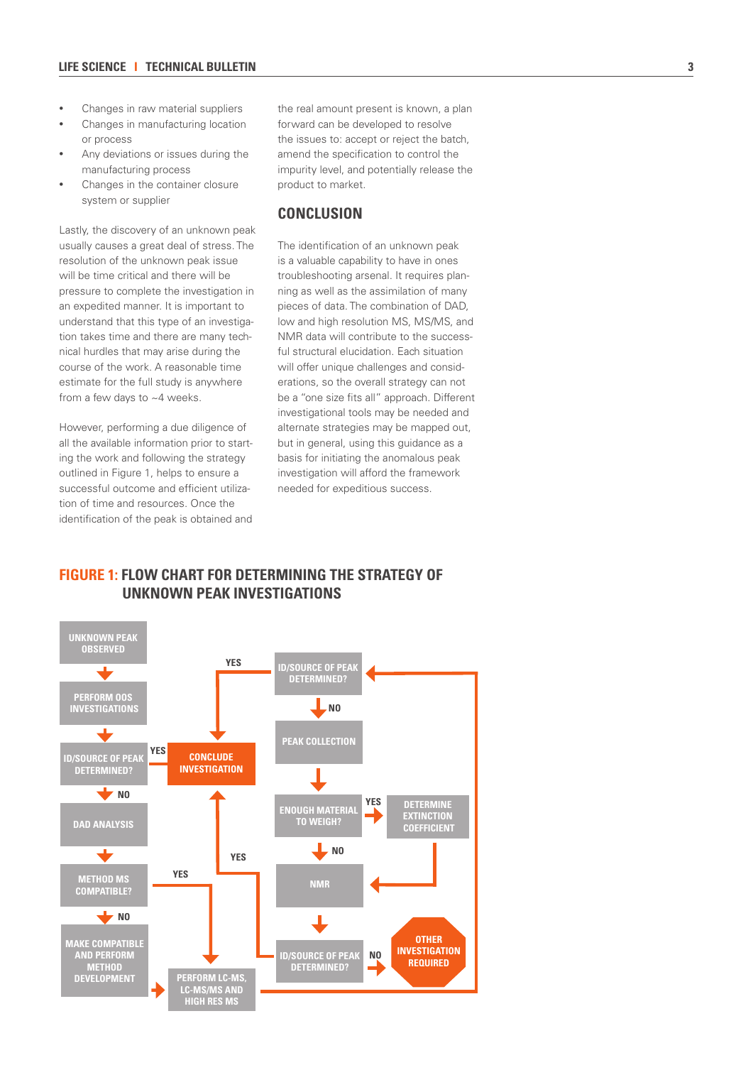- Changes in raw material suppliers
- Changes in manufacturing location or process
- Any deviations or issues during the manufacturing process
- Changes in the container closure system or supplier

Lastly, the discovery of an unknown peak usually causes a great deal of stress. The resolution of the unknown peak issue will be time critical and there will be pressure to complete the investigation in an expedited manner. It is important to understand that this type of an investigation takes time and there are many technical hurdles that may arise during the course of the work. A reasonable time estimate for the full study is anywhere from a few days to ~4 weeks.

However, performing a due diligence of all the available information prior to starting the work and following the strategy outlined in Figure 1, helps to ensure a successful outcome and efficient utilization of time and resources. Once the identification of the peak is obtained and the real amount present is known, a plan forward can be developed to resolve the issues to: accept or reject the batch, amend the specification to control the impurity level, and potentially release the product to market.

## **CONCLUSION**

The identification of an unknown peak is a valuable capability to have in ones troubleshooting arsenal. It requires planning as well as the assimilation of many pieces of data. The combination of DAD, low and high resolution MS, MS/MS, and NMR data will contribute to the successful structural elucidation. Each situation will offer unique challenges and considerations, so the overall strategy can not be a "one size fits all" approach. Different investigational tools may be needed and alternate strategies may be mapped out, but in general, using this guidance as a basis for initiating the anomalous peak investigation will afford the framework needed for expeditious success.

# **FIGURE 1: FLOW CHART FOR DETERMINING THE STRATEGY OF UNKNOWN PEAK INVESTIGATIONS**